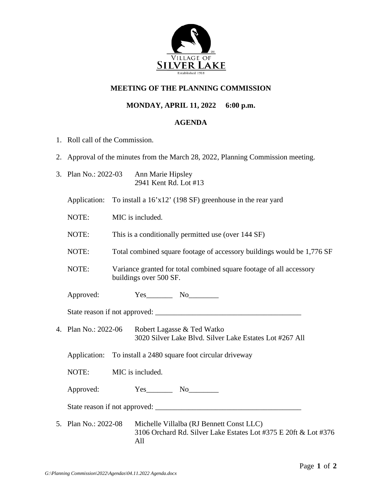

## **MEETING OF THE PLANNING COMMISSION**

## **MONDAY, APRIL 11, 2022 6:00 p.m.**

## **AGENDA**

- 1. Roll call of the Commission.
- 2. Approval of the minutes from the March 28, 2022, Planning Commission meeting.
- 3. Plan No.: 2022-03 Ann Marie Hipsley 2941 Kent Rd. Lot #13

Application: To install a 16'x12' (198 SF) greenhouse in the rear yard

NOTE: MIC is included.

NOTE: This is a conditionally permitted use (over 144 SF)

- NOTE: Total combined square footage of accessory buildings would be 1,776 SF
- NOTE: Variance granted for total combined square footage of all accessory buildings over 500 SF.

Approved:  $Yes$  No

State reason if not approved: \_\_\_\_\_\_\_\_\_\_\_\_\_\_\_\_\_\_\_\_\_\_\_\_\_\_\_\_\_\_\_\_\_\_\_\_\_\_\_

4. Plan No.: 2022-06 Robert Lagasse & Ted Watko 3020 Silver Lake Blvd. Silver Lake Estates Lot #267 All

Application: To install a 2480 square foot circular driveway

NOTE: MIC is included.

Approved:  $Yes$  No

State reason if not approved: \_\_\_\_\_\_\_\_\_\_\_\_\_\_\_\_\_\_\_\_\_\_\_\_\_\_\_\_\_\_\_\_\_\_\_\_\_\_\_

5. Plan No.: 2022-08 Michelle Villalba (RJ Bennett Const LLC) 3106 Orchard Rd. Silver Lake Estates Lot #375 E 20ft & Lot #376 All